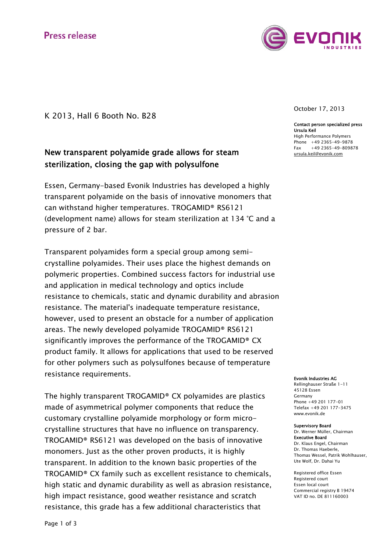

K 2013, Hall 6 Booth No. B28

# New transparent polyamide grade allows for steam sterilization, closing the gap with polysulfone

Essen, Germany-based Evonik Industries has developed a highly transparent polyamide on the basis of innovative monomers that can withstand higher temperatures. TROGAMID® RS6121 (development name) allows for steam sterilization at 134 °C and a pressure of 2 bar.

Transparent polyamides form a special group among semicrystalline polyamides. Their uses place the highest demands on polymeric properties. Combined success factors for industrial use and application in medical technology and optics include resistance to chemicals, static and dynamic durability and abrasion resistance. The material's inadequate temperature resistance, however, used to present an obstacle for a number of application areas. The newly developed polyamide TROGAMID® RS6121 significantly improves the performance of the TROGAMID® CX product family. It allows for applications that used to be reserved for other polymers such as polysulfones because of temperature resistance requirements.

The highly transparent TROGAMID® CX polyamides are plastics made of asymmetrical polymer components that reduce the customary crystalline polyamide morphology or form microcrystalline structures that have no influence on transparency. TROGAMID® RS6121 was developed on the basis of innovative monomers. Just as the other proven products, it is highly transparent. In addition to the known basic properties of the TROGAMID® CX family such as excellent resistance to chemicals, high static and dynamic durability as well as abrasion resistance, high impact resistance, good weather resistance and scratch resistance, this grade has a few additional characteristics that

October 17, 2013

Contact person specialized press Ursula Keil High Performance Polymers Phone +49 2365-49-9878  $Fax +49$  2365-49-809878 ursula.keil@evonik.com

Evonik Industries AG

Rellinghauser Straße 1-11 45128 Essen Germany Phone +49 201 177-01 Telefax +49 201 177-3475 www.evonik.de

## Supervisory Board

Dr. Werner Müller, Chairman Executive Board Dr. Klaus Engel, Chairman Dr. Thomas Haeberle, Thomas Wessel, Patrik Wohlhauser, Ute Wolf, Dr. Dahai Yu

Registered office Essen Registered court Essen local court Commercial registry B 19474 VAT ID no. DE 811160003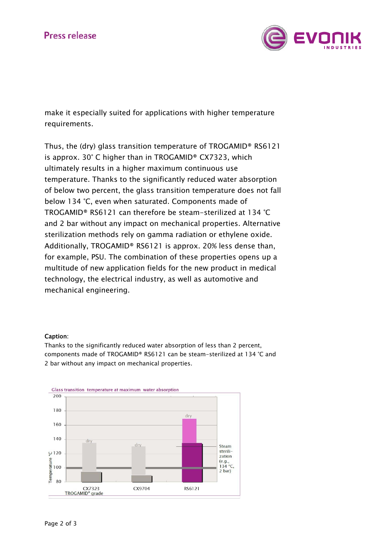

make it especially suited for applications with higher temperature requirements.

Thus, the (dry) glass transition temperature of TROGAMID® RS6121 is approx. 30° C higher than in TROGAMID® CX7323, which ultimately results in a higher maximum continuous use temperature. Thanks to the significantly reduced water absorption of below two percent, the glass transition temperature does not fall below 134 °C, even when saturated. Components made of TROGAMID® RS6121 can therefore be steam-sterilized at 134 °C and 2 bar without any impact on mechanical properties. Alternative sterilization methods rely on gamma radiation or ethylene oxide. Additionally, TROGAMID® RS6121 is approx. 20% less dense than, for example, PSU. The combination of these properties opens up a multitude of new application fields for the new product in medical technology, the electrical industry, as well as automotive and mechanical engineering.

### Caption:

Thanks to the significantly reduced water absorption of less than 2 percent, components made of TROGAMID® RS6121 can be steam-sterilized at 134 °C and 2 bar without any impact on mechanical properties.